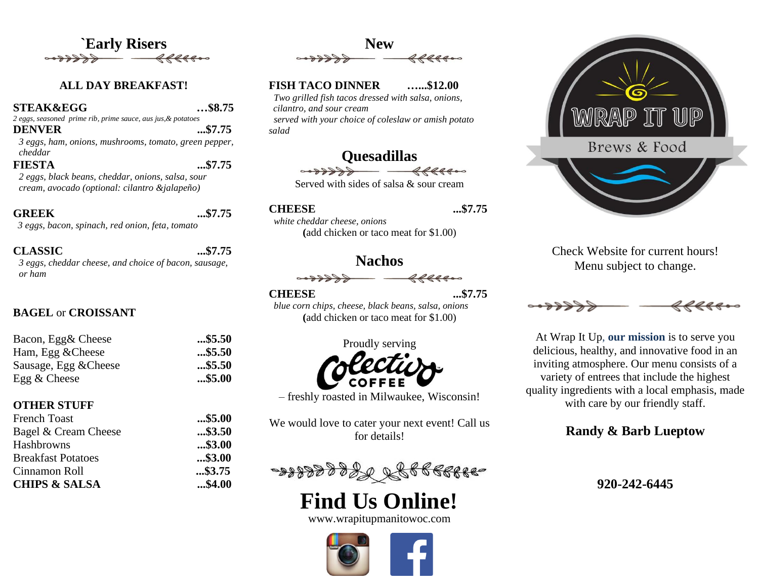

#### **ALL DAY BREAKFAST!**

#### **STEAK&EGG …\$8.75**

*2 eggs, seasoned prime rib, prime sauce, aus jus,& potatoes*

**DENVER ...\$7.75** *3 eggs, ham, onions, mushrooms, tomato, green pepper, cheddar*

# **FIESTA ...\$7.75**

*2 eggs, black beans, cheddar, onions, salsa, sour cream, avocado (optional: cilantro &jalapeño)*

**GREEK ...\$7.75**  *3 eggs, bacon, spinach, red onion, feta, tomato*

#### **CLASSIC ...\$7.75**

*3 eggs, cheddar cheese, and choice of bacon, sausage, or ham*

#### **BAGEL** or **CROISSANT**

| Bacon, Egg& Cheese    | $$ \$5.50 |
|-----------------------|-----------|
| Ham, Egg & Cheese     | $$ \$5.50 |
| Sausage, Egg & Cheese | $$ \$5.50 |
| Egg $&$ Cheese        | $$ \$5.00 |

#### **OTHER STUFF**

| <b>French Toast</b>       | $$ \$5.00 |
|---------------------------|-----------|
| Bagel & Cream Cheese      | $$ \$3.50 |
| Hashbrowns                | $$ \$3.00 |
| <b>Breakfast Potatoes</b> | $$ \$3.00 |
| Cinnamon Roll             | $$ \$3.75 |
| <b>CHIPS &amp; SALSA</b>  | \$4.00    |



#### **FISH TACO DINNER …...\$12.00**

 *Two grilled fish tacos dressed with salsa, onions, cilantro, and sour cream served with your choice of coleslaw or amish potato*

# **Quesadillas**

Served with sides of salsa & sour cream

#### **CHEESE ...\$7.75**

*salad*

 *white cheddar cheese, onions*  **(**add chicken or taco meat for \$1.00)

## **Nachos**

$$
\overbrace{\hspace{1.5cm}}^{60000000} \overbrace{\hspace{1.5cm}}^{800000}
$$

**CHEESE ...\$7.75**

 *blue corn chips, cheese, black beans, salsa, onions* **(**add chicken or taco meat for \$1.00)



– freshly roasted in Milwaukee, Wisconsin!

We would love to cater your next event! Call us for details!



# **Find Us Online!**

www.wrapitupmanitowoc.com





Check Website for current hours! Menu subject to change.



At Wrap It Up, **our mission** is to serve you delicious, healthy, and innovative food in an inviting atmosphere. Our menu consists of a variety of entrees that include the highest quality ingredients with a local emphasis, made with care by our friendly staff.

### **Randy & Barb Lueptow**

**920-242-6445**